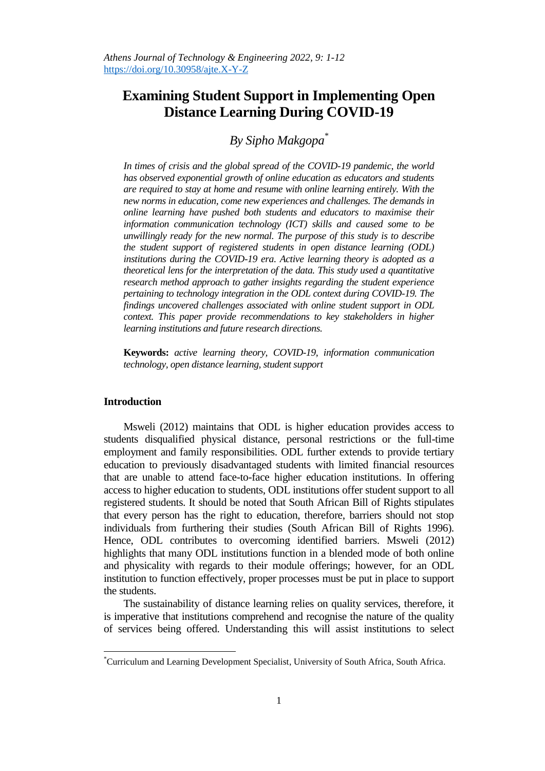# **Examining Student Support in Implementing Open Distance Learning During COVID-19**

# *By Sipho Makgopa \**

*In times of crisis and the global spread of the COVID-19 pandemic, the world has observed exponential growth of online education as educators and students are required to stay at home and resume with online learning entirely. With the new norms in education, come new experiences and challenges. The demands in online learning have pushed both students and educators to maximise their information communication technology (ICT) skills and caused some to be unwillingly ready for the new normal. The purpose of this study is to describe the student support of registered students in open distance learning (ODL) institutions during the COVID-19 era. Active learning theory is adopted as a theoretical lens for the interpretation of the data. This study used a quantitative research method approach to gather insights regarding the student experience pertaining to technology integration in the ODL context during COVID-19. The findings uncovered challenges associated with online student support in ODL context. This paper provide recommendations to key stakeholders in higher learning institutions and future research directions.*

**Keywords:** *active learning theory, COVID-19, information communication technology, open distance learning, student support*

## **Introduction**

 $\overline{a}$ 

Msweli (2012) maintains that ODL is higher education provides access to students disqualified physical distance, personal restrictions or the full-time employment and family responsibilities. ODL further extends to provide tertiary education to previously disadvantaged students with limited financial resources that are unable to attend face-to-face higher education institutions. In offering access to higher education to students, ODL institutions offer student support to all registered students. It should be noted that South African Bill of Rights stipulates that every person has the right to education, therefore, barriers should not stop individuals from furthering their studies (South African Bill of Rights 1996). Hence, ODL contributes to overcoming identified barriers. Msweli (2012) highlights that many ODL institutions function in a blended mode of both online and physicality with regards to their module offerings; however, for an ODL institution to function effectively, proper processes must be put in place to support the students.

The sustainability of distance learning relies on quality services, therefore, it is imperative that institutions comprehend and recognise the nature of the quality of services being offered. Understanding this will assist institutions to select

<sup>\*</sup>Curriculum and Learning Development Specialist, University of South Africa, South Africa.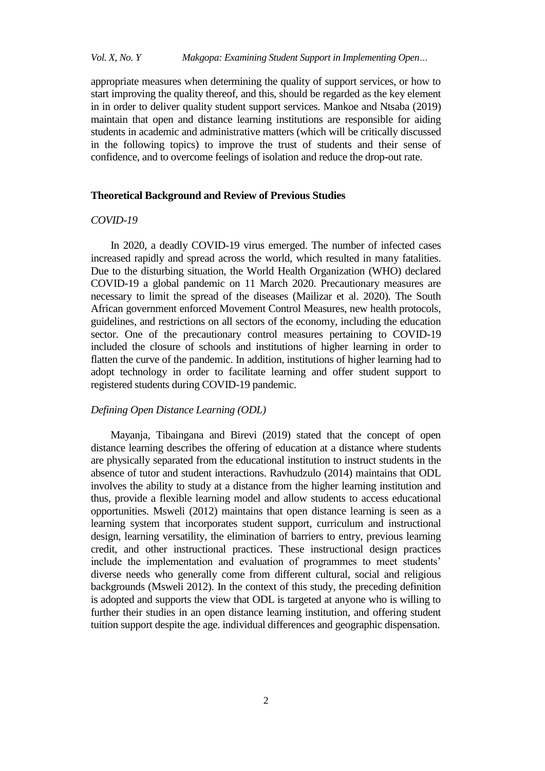appropriate measures when determining the quality of support services, or how to start improving the quality thereof, and this, should be regarded as the key element in in order to deliver quality student support services. Mankoe and Ntsaba (2019) maintain that open and distance learning institutions are responsible for aiding students in academic and administrative matters (which will be critically discussed in the following topics) to improve the trust of students and their sense of confidence, and to overcome feelings of isolation and reduce the drop-out rate.

#### **Theoretical Background and Review of Previous Studies**

#### *COVID-19*

In 2020, a deadly COVID-19 virus emerged. The number of infected cases increased rapidly and spread across the world, which resulted in many fatalities. Due to the disturbing situation, the World Health Organization (WHO) declared COVID-19 a global pandemic on 11 March 2020. Precautionary measures are necessary to limit the spread of the diseases (Mailizar et al. 2020). The South African government enforced Movement Control Measures, new health protocols, guidelines, and restrictions on all sectors of the economy, including the education sector. One of the precautionary control measures pertaining to COVID-19 included the closure of schools and institutions of higher learning in order to flatten the curve of the pandemic. In addition, institutions of higher learning had to adopt technology in order to facilitate learning and offer student support to registered students during COVID-19 pandemic.

# *Defining Open Distance Learning (ODL)*

Mayanja, Tibaingana and Birevi (2019) stated that the concept of open distance learning describes the offering of education at a distance where students are physically separated from the educational institution to instruct students in the absence of tutor and student interactions. Ravhudzulo (2014) maintains that ODL involves the ability to study at a distance from the higher learning institution and thus, provide a flexible learning model and allow students to access educational opportunities. Msweli (2012) maintains that open distance learning is seen as a learning system that incorporates student support, curriculum and instructional design, learning versatility, the elimination of barriers to entry, previous learning credit, and other instructional practices. These instructional design practices include the implementation and evaluation of programmes to meet students' diverse needs who generally come from different cultural, social and religious backgrounds (Msweli 2012). In the context of this study, the preceding definition is adopted and supports the view that ODL is targeted at anyone who is willing to further their studies in an open distance learning institution, and offering student tuition support despite the age. individual differences and geographic dispensation.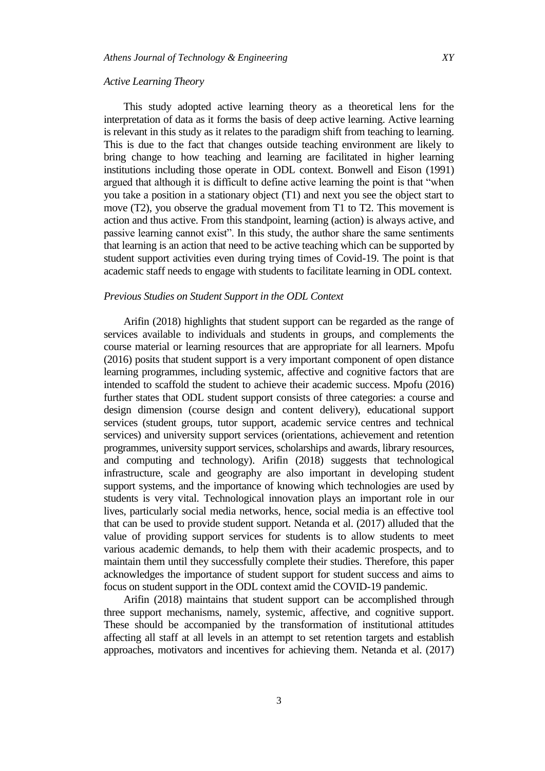#### *Active Learning Theory*

This study adopted active learning theory as a theoretical lens for the interpretation of data as it forms the basis of deep active learning. Active learning is relevant in this study as it relates to the paradigm shift from teaching to learning. This is due to the fact that changes outside teaching environment are likely to bring change to how teaching and learning are facilitated in higher learning institutions including those operate in ODL context. Bonwell and Eison (1991) argued that although it is difficult to define active learning the point is that "when you take a position in a stationary object (T1) and next you see the object start to move (T2), you observe the gradual movement from T1 to T2. This movement is action and thus active. From this standpoint, learning (action) is always active, and passive learning cannot exist". In this study, the author share the same sentiments that learning is an action that need to be active teaching which can be supported by student support activities even during trying times of Covid-19. The point is that academic staff needs to engage with students to facilitate learning in ODL context.

# *Previous Studies on Student Support in the ODL Context*

Arifin (2018) highlights that student support can be regarded as the range of services available to individuals and students in groups, and complements the course material or learning resources that are appropriate for all learners. Mpofu (2016) posits that student support is a very important component of open distance learning programmes, including systemic, affective and cognitive factors that are intended to scaffold the student to achieve their academic success. Mpofu (2016) further states that ODL student support consists of three categories: a course and design dimension (course design and content delivery), educational support services (student groups, tutor support, academic service centres and technical services) and university support services (orientations, achievement and retention programmes, university support services, scholarships and awards, library resources, and computing and technology). Arifin (2018) suggests that technological infrastructure, scale and geography are also important in developing student support systems, and the importance of knowing which technologies are used by students is very vital. Technological innovation plays an important role in our lives, particularly social media networks, hence, social media is an effective tool that can be used to provide student support. Netanda et al. (2017) alluded that the value of providing support services for students is to allow students to meet various academic demands, to help them with their academic prospects, and to maintain them until they successfully complete their studies. Therefore, this paper acknowledges the importance of student support for student success and aims to focus on student support in the ODL context amid the COVID-19 pandemic.

Arifin (2018) maintains that student support can be accomplished through three support mechanisms, namely, systemic, affective, and cognitive support. These should be accompanied by the transformation of institutional attitudes affecting all staff at all levels in an attempt to set retention targets and establish approaches, motivators and incentives for achieving them. Netanda et al. (2017)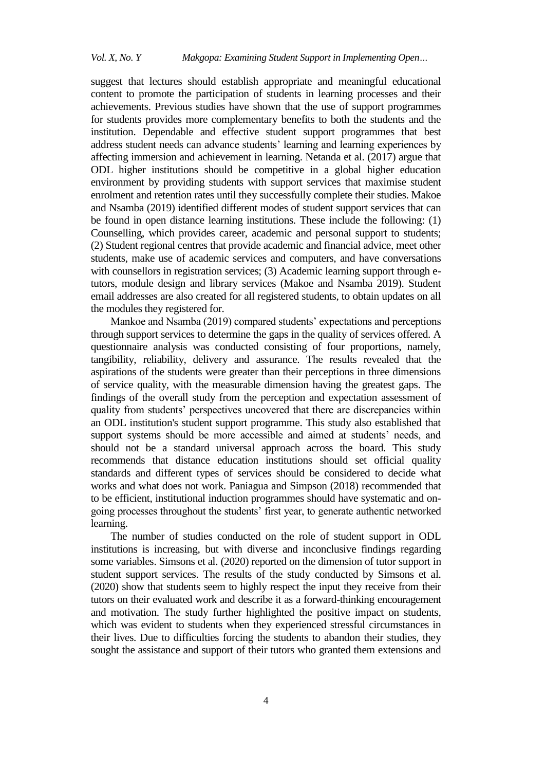suggest that lectures should establish appropriate and meaningful educational content to promote the participation of students in learning processes and their achievements. Previous studies have shown that the use of support programmes for students provides more complementary benefits to both the students and the institution. Dependable and effective student support programmes that best address student needs can advance students' learning and learning experiences by affecting immersion and achievement in learning. Netanda et al. (2017) argue that ODL higher institutions should be competitive in a global higher education environment by providing students with support services that maximise student enrolment and retention rates until they successfully complete their studies. Makoe and Nsamba (2019) identified different modes of student support services that can be found in open distance learning institutions. These include the following: (1) Counselling, which provides career, academic and personal support to students; (2) Student regional centres that provide academic and financial advice, meet other students, make use of academic services and computers, and have conversations with counsellors in registration services; (3) Academic learning support through etutors, module design and library services (Makoe and Nsamba 2019). Student email addresses are also created for all registered students, to obtain updates on all the modules they registered for.

Mankoe and Nsamba (2019) compared students' expectations and perceptions through support services to determine the gaps in the quality of services offered. A questionnaire analysis was conducted consisting of four proportions, namely, tangibility, reliability, delivery and assurance. The results revealed that the aspirations of the students were greater than their perceptions in three dimensions of service quality, with the measurable dimension having the greatest gaps. The findings of the overall study from the perception and expectation assessment of quality from students" perspectives uncovered that there are discrepancies within an ODL institution's student support programme. This study also established that support systems should be more accessible and aimed at students' needs, and should not be a standard universal approach across the board. This study recommends that distance education institutions should set official quality standards and different types of services should be considered to decide what works and what does not work. Paniagua and Simpson (2018) recommended that to be efficient, institutional induction programmes should have systematic and ongoing processes throughout the students" first year, to generate authentic networked learning.

The number of studies conducted on the role of student support in ODL institutions is increasing, but with diverse and inconclusive findings regarding some variables. Simsons et al. (2020) reported on the dimension of tutor support in student support services. The results of the study conducted by Simsons et al. (2020) show that students seem to highly respect the input they receive from their tutors on their evaluated work and describe it as a forward-thinking encouragement and motivation. The study further highlighted the positive impact on students, which was evident to students when they experienced stressful circumstances in their lives. Due to difficulties forcing the students to abandon their studies, they sought the assistance and support of their tutors who granted them extensions and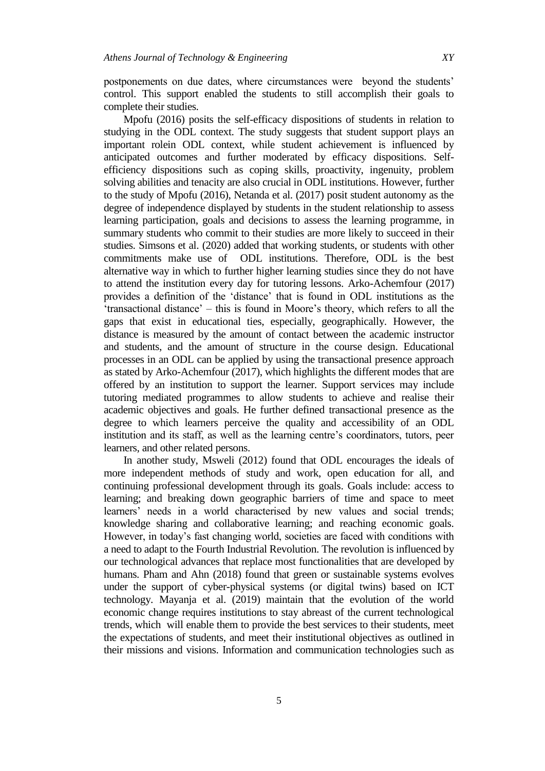postponements on due dates, where circumstances were beyond the students" control. This support enabled the students to still accomplish their goals to complete their studies.

Mpofu (2016) posits the self-efficacy dispositions of students in relation to studying in the ODL context. The study suggests that student support plays an important rolein ODL context, while student achievement is influenced by anticipated outcomes and further moderated by efficacy dispositions. Selfefficiency dispositions such as coping skills, proactivity, ingenuity, problem solving abilities and tenacity are also crucial in ODL institutions. However, further to the study of Mpofu (2016), Netanda et al. (2017) posit student autonomy as the degree of independence displayed by students in the student relationship to assess learning participation, goals and decisions to assess the learning programme, in summary students who commit to their studies are more likely to succeed in their studies. Simsons et al. (2020) added that working students, or students with other commitments make use of ODL institutions. Therefore, ODL is the best alternative way in which to further higher learning studies since they do not have to attend the institution every day for tutoring lessons. Arko-Achemfour (2017) provides a definition of the "distance" that is found in ODL institutions as the "transactional distance" – this is found in Moore"s theory, which refers to all the gaps that exist in educational ties, especially, geographically. However, the distance is measured by the amount of contact between the academic instructor and students, and the amount of structure in the course design. Educational processes in an ODL can be applied by using the transactional presence approach as stated by Arko-Achemfour (2017), which highlights the different modes that are offered by an institution to support the learner. Support services may include tutoring mediated programmes to allow students to achieve and realise their academic objectives and goals. He further defined transactional presence as the degree to which learners perceive the quality and accessibility of an ODL institution and its staff, as well as the learning centre's coordinators, tutors, peer learners, and other related persons.

In another study, Msweli (2012) found that ODL encourages the ideals of more independent methods of study and work, open education for all, and continuing professional development through its goals. Goals include: access to learning; and breaking down geographic barriers of time and space to meet learners' needs in a world characterised by new values and social trends; knowledge sharing and collaborative learning; and reaching economic goals. However, in today"s fast changing world, societies are faced with conditions with a need to adapt to the Fourth Industrial Revolution. The revolution is influenced by our technological advances that replace most functionalities that are developed by humans. Pham and Ahn (2018) found that green or sustainable systems evolves under the support of cyber-physical systems (or digital twins) based on ICT technology. Mayanja et al. (2019) maintain that the evolution of the world economic change requires institutions to stay abreast of the current technological trends, which will enable them to provide the best services to their students, meet the expectations of students, and meet their institutional objectives as outlined in their missions and visions. Information and communication technologies such as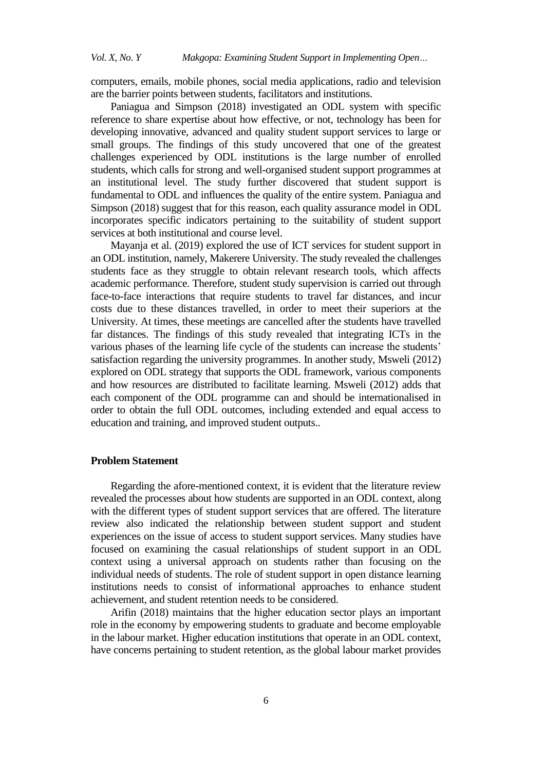computers, emails, mobile phones, social media applications, radio and television are the barrier points between students, facilitators and institutions.

Paniagua and Simpson (2018) investigated an ODL system with specific reference to share expertise about how effective, or not, technology has been for developing innovative, advanced and quality student support services to large or small groups. The findings of this study uncovered that one of the greatest challenges experienced by ODL institutions is the large number of enrolled students, which calls for strong and well-organised student support programmes at an institutional level. The study further discovered that student support is fundamental to ODL and influences the quality of the entire system. Paniagua and Simpson (2018) suggest that for this reason, each quality assurance model in ODL incorporates specific indicators pertaining to the suitability of student support services at both institutional and course level.

Mayanja et al. (2019) explored the use of ICT services for student support in an ODL institution, namely, Makerere University. The study revealed the challenges students face as they struggle to obtain relevant research tools, which affects academic performance. Therefore, student study supervision is carried out through face-to-face interactions that require students to travel far distances, and incur costs due to these distances travelled, in order to meet their superiors at the University. At times, these meetings are cancelled after the students have travelled far distances. The findings of this study revealed that integrating ICTs in the various phases of the learning life cycle of the students can increase the students' satisfaction regarding the university programmes. In another study, Msweli (2012) explored on ODL strategy that supports the ODL framework, various components and how resources are distributed to facilitate learning. Msweli (2012) adds that each component of the ODL programme can and should be internationalised in order to obtain the full ODL outcomes, including extended and equal access to education and training, and improved student outputs..

# **Problem Statement**

Regarding the afore-mentioned context, it is evident that the literature review revealed the processes about how students are supported in an ODL context, along with the different types of student support services that are offered. The literature review also indicated the relationship between student support and student experiences on the issue of access to student support services. Many studies have focused on examining the casual relationships of student support in an ODL context using a universal approach on students rather than focusing on the individual needs of students. The role of student support in open distance learning institutions needs to consist of informational approaches to enhance student achievement, and student retention needs to be considered.

Arifin (2018) maintains that the higher education sector plays an important role in the economy by empowering students to graduate and become employable in the labour market. Higher education institutions that operate in an ODL context, have concerns pertaining to student retention, as the global labour market provides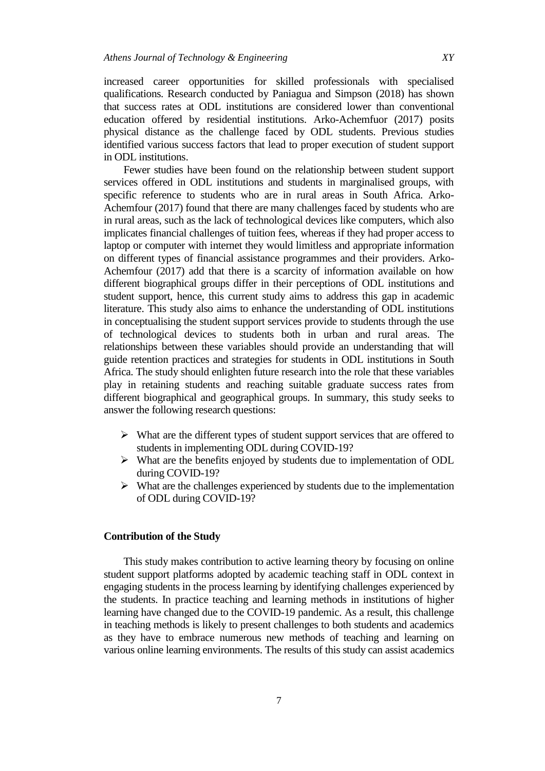increased career opportunities for skilled professionals with specialised qualifications. Research conducted by Paniagua and Simpson (2018) has shown that success rates at ODL institutions are considered lower than conventional education offered by residential institutions. Arko-Achemfuor (2017) posits physical distance as the challenge faced by ODL students. Previous studies identified various success factors that lead to proper execution of student support in ODL institutions.

Fewer studies have been found on the relationship between student support services offered in ODL institutions and students in marginalised groups, with specific reference to students who are in rural areas in South Africa. Arko-Achemfour (2017) found that there are many challenges faced by students who are in rural areas, such as the lack of technological devices like computers, which also implicates financial challenges of tuition fees, whereas if they had proper access to laptop or computer with internet they would limitless and appropriate information on different types of financial assistance programmes and their providers. Arko-Achemfour (2017) add that there is a scarcity of information available on how different biographical groups differ in their perceptions of ODL institutions and student support, hence, this current study aims to address this gap in academic literature. This study also aims to enhance the understanding of ODL institutions in conceptualising the student support services provide to students through the use of technological devices to students both in urban and rural areas. The relationships between these variables should provide an understanding that will guide retention practices and strategies for students in ODL institutions in South Africa. The study should enlighten future research into the role that these variables play in retaining students and reaching suitable graduate success rates from different biographical and geographical groups. In summary, this study seeks to answer the following research questions:

- $\triangleright$  What are the different types of student support services that are offered to students in implementing ODL during COVID-19?
- What are the benefits enjoyed by students due to implementation of ODL during COVID-19?
- $\triangleright$  What are the challenges experienced by students due to the implementation of ODL during COVID-19?

### **Contribution of the Study**

This study makes contribution to active learning theory by focusing on online student support platforms adopted by academic teaching staff in ODL context in engaging students in the process learning by identifying challenges experienced by the students. In practice teaching and learning methods in institutions of higher learning have changed due to the COVID-19 pandemic. As a result, this challenge in teaching methods is likely to present challenges to both students and academics as they have to embrace numerous new methods of teaching and learning on various online learning environments. The results of this study can assist academics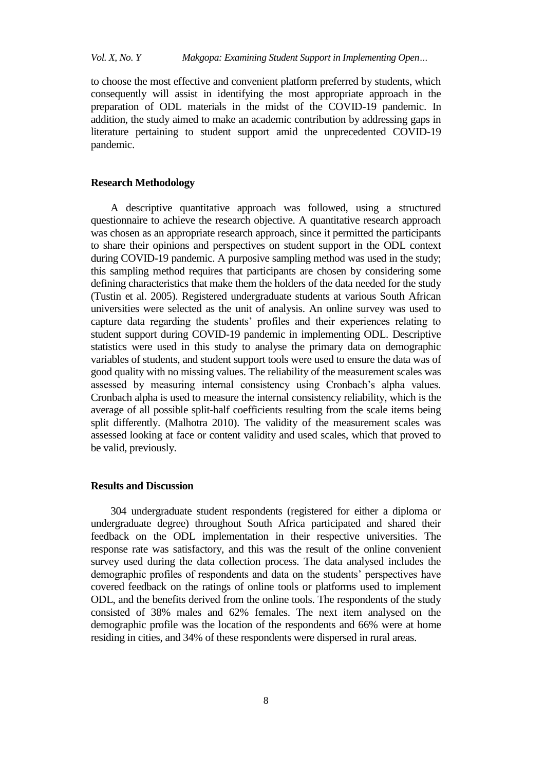to choose the most effective and convenient platform preferred by students, which consequently will assist in identifying the most appropriate approach in the preparation of ODL materials in the midst of the COVID-19 pandemic. In addition, the study aimed to make an academic contribution by addressing gaps in literature pertaining to student support amid the unprecedented COVID-19 pandemic.

#### **Research Methodology**

A descriptive quantitative approach was followed, using a structured questionnaire to achieve the research objective. A quantitative research approach was chosen as an appropriate research approach, since it permitted the participants to share their opinions and perspectives on student support in the ODL context during COVID-19 pandemic. A purposive sampling method was used in the study; this sampling method requires that participants are chosen by considering some defining characteristics that make them the holders of the data needed for the study (Tustin et al. 2005). Registered undergraduate students at various South African universities were selected as the unit of analysis. An online survey was used to capture data regarding the students" profiles and their experiences relating to student support during COVID-19 pandemic in implementing ODL. Descriptive statistics were used in this study to analyse the primary data on demographic variables of students, and student support tools were used to ensure the data was of good quality with no missing values. The reliability of the measurement scales was assessed by measuring internal consistency using Cronbach's alpha values. Cronbach alpha is used to measure the internal consistency reliability, which is the average of all possible split-half coefficients resulting from the scale items being split differently. (Malhotra 2010). The validity of the measurement scales was assessed looking at face or content validity and used scales, which that proved to be valid, previously.

# **Results and Discussion**

304 undergraduate student respondents (registered for either a diploma or undergraduate degree) throughout South Africa participated and shared their feedback on the ODL implementation in their respective universities. The response rate was satisfactory, and this was the result of the online convenient survey used during the data collection process. The data analysed includes the demographic profiles of respondents and data on the students' perspectives have covered feedback on the ratings of online tools or platforms used to implement ODL, and the benefits derived from the online tools. The respondents of the study consisted of 38% males and 62% females. The next item analysed on the demographic profile was the location of the respondents and 66% were at home residing in cities, and 34% of these respondents were dispersed in rural areas.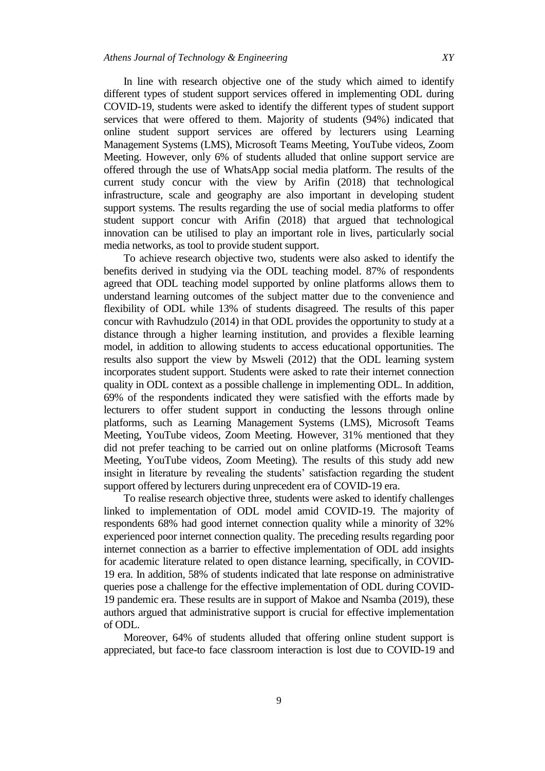In line with research objective one of the study which aimed to identify different types of student support services offered in implementing ODL during COVID-19, students were asked to identify the different types of student support services that were offered to them. Majority of students (94%) indicated that online student support services are offered by lecturers using Learning Management Systems (LMS), Microsoft Teams Meeting, YouTube videos, Zoom Meeting. However, only 6% of students alluded that online support service are offered through the use of WhatsApp social media platform. The results of the current study concur with the view by Arifin (2018) that technological infrastructure, scale and geography are also important in developing student support systems. The results regarding the use of social media platforms to offer student support concur with Arifin (2018) that argued that technological innovation can be utilised to play an important role in lives, particularly social media networks, as tool to provide student support.

To achieve research objective two, students were also asked to identify the benefits derived in studying via the ODL teaching model. 87% of respondents agreed that ODL teaching model supported by online platforms allows them to understand learning outcomes of the subject matter due to the convenience and flexibility of ODL while 13% of students disagreed. The results of this paper concur with Ravhudzulo (2014) in that ODL provides the opportunity to study at a distance through a higher learning institution, and provides a flexible learning model, in addition to allowing students to access educational opportunities. The results also support the view by Msweli (2012) that the ODL learning system incorporates student support. Students were asked to rate their internet connection quality in ODL context as a possible challenge in implementing ODL. In addition, 69% of the respondents indicated they were satisfied with the efforts made by lecturers to offer student support in conducting the lessons through online platforms, such as Learning Management Systems (LMS), Microsoft Teams Meeting, YouTube videos, Zoom Meeting. However, 31% mentioned that they did not prefer teaching to be carried out on online platforms (Microsoft Teams Meeting, YouTube videos, Zoom Meeting). The results of this study add new insight in literature by revealing the students' satisfaction regarding the student support offered by lecturers during unprecedent era of COVID-19 era.

To realise research objective three, students were asked to identify challenges linked to implementation of ODL model amid COVID-19. The majority of respondents 68% had good internet connection quality while a minority of 32% experienced poor internet connection quality. The preceding results regarding poor internet connection as a barrier to effective implementation of ODL add insights for academic literature related to open distance learning, specifically, in COVID-19 era. In addition, 58% of students indicated that late response on administrative queries pose a challenge for the effective implementation of ODL during COVID-19 pandemic era. These results are in support of Makoe and Nsamba (2019), these authors argued that administrative support is crucial for effective implementation of ODL.

Moreover, 64% of students alluded that offering online student support is appreciated, but face-to face classroom interaction is lost due to COVID-19 and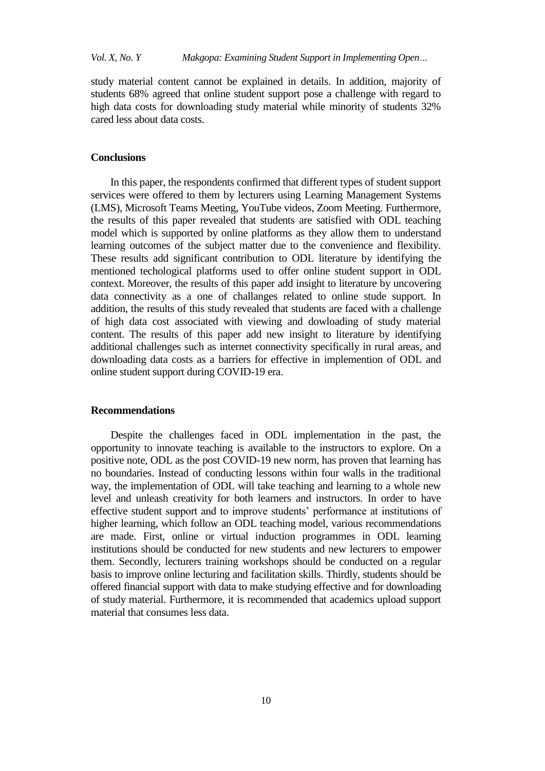study material content cannot be explained in details. In addition, majority of students 68% agreed that online student support pose a challenge with regard to high data costs for downloading study material while minority of students 32% cared less about data costs.

# **Conclusions**

In this paper, the respondents confirmed that different types of student support services were offered to them by lecturers using Learning Management Systems (LMS), Microsoft Teams Meeting, YouTube videos, Zoom Meeting. Furthermore, the results of this paper revealed that students are satisfied with ODL teaching model which is supported by online platforms as they allow them to understand learning outcomes of the subject matter due to the convenience and flexibility. These results add significant contribution to ODL literature by identifying the mentioned techological platforms used to offer online student support in ODL context. Moreover, the results of this paper add insight to literature by uncovering data connectivity as a one of challanges related to online stude support. In addition, the results of this study revealed that students are faced with a challenge of high data cost associated with viewing and dowloading of study material content. The results of this paper add new insight to literature by identifying additional challenges such as internet connectivity specifically in rural areas, and downloading data costs as a barriers for effective in implemention of ODL and online student support during COVID-19 era.

#### **Recommendations**

Despite the challenges faced in ODL implementation in the past, the opportunity to innovate teaching is available to the instructors to explore. On a positive note, ODL as the post COVID-19 new norm, has proven that learning has no boundaries. Instead of conducting lessons within four walls in the traditional way, the implementation of ODL will take teaching and learning to a whole new level and unleash creativity for both learners and instructors. In order to have effective student support and to improve students" performance at institutions of higher learning, which follow an ODL teaching model, various recommendations are made. First, online or virtual induction programmes in ODL learning institutions should be conducted for new students and new lecturers to empower them. Secondly, lecturers training workshops should be conducted on a regular basis to improve online lecturing and facilitation skills. Thirdly, students should be offered financial support with data to make studying effective and for downloading of study material. Furthermore, it is recommended that academics upload support material that consumes less data.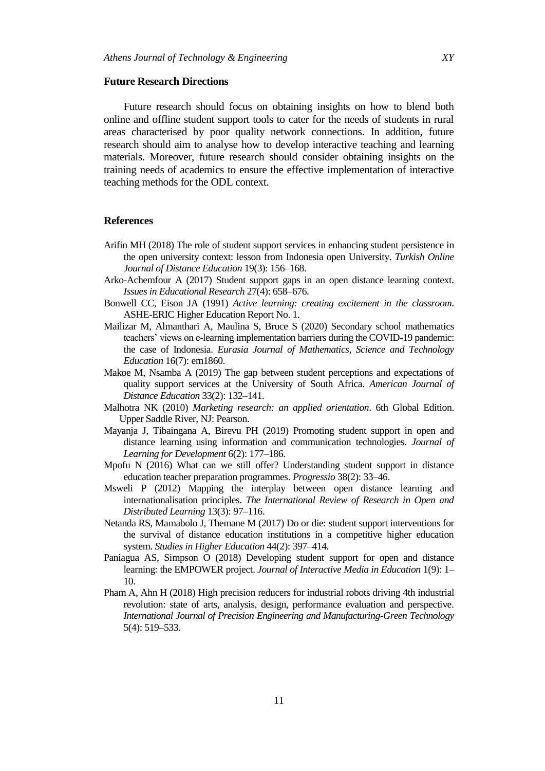#### **Future Research Directions**

Future research should focus on obtaining insights on how to blend both online and offline student support tools to cater for the needs of students in rural areas characterised by poor quality network connections. In addition, future research should aim to analyse how to develop interactive teaching and learning materials. Moreover, future research should consider obtaining insights on the training needs of academics to ensure the effective implementation of interactive teaching methods for the ODL context.

#### **References**

- Arifin MH (2018) The role of student support services in enhancing student persistence in the open university context: lesson from Indonesia open University. *Turkish Online Journal of Distance Education* 19(3): 156–168.
- Arko-Achemfour A (2017) Student support gaps in an open distance learning context. *Issues in Educational Research* 27(4): 658–676.
- Bonwell CC, Eison JA (1991) *Active learning: creating excitement in the classroom*. ASHE-ERIC Higher Education Report No. 1.
- Mailizar M, Almanthari A, Maulina S, Bruce S (2020) Secondary school mathematics teachers' views on e-learning implementation barriers during the COVID-19 pandemic: the case of Indonesia. *Eurasia Journal of Mathematics, Science and Technology Education* 16(7): em1860.
- Makoe M, Nsamba A (2019) The gap between student perceptions and expectations of quality support services at the University of South Africa. *American Journal of Distance Education* 33(2): 132–141.
- Malhotra NK (2010) *Marketing research: an applied orientation*. 6th Global Edition. Upper Saddle River, NJ: Pearson.
- Mayanja J, Tibaingana A, Birevu PH (2019) Promoting student support in open and distance learning using information and communication technologies. *Journal of Learning for Development* 6(2): 177–186.
- Mpofu N (2016) What can we still offer? Understanding student support in distance education teacher preparation programmes. *Progressio* 38(2): 33–46.
- Msweli P (2012) Mapping the interplay between open distance learning and internationalisation principles. *The International Review of Research in Open and Distributed Learning* 13(3): 97–116.
- Netanda RS, Mamabolo J, Themane M (2017) Do or die: student support interventions for the survival of distance education institutions in a competitive higher education system. *Studies in Higher Education* 44(2): 397–414.
- Paniagua AS, Simpson O (2018) Developing student support for open and distance learning: the EMPOWER project. *Journal of Interactive Media in Education* 1(9): 1– 10.
- Pham A, Ahn H (2018) High precision reducers for industrial robots driving 4th industrial revolution: state of arts, analysis, design, performance evaluation and perspective. *International Journal of Precision Engineering and Manufacturing-Green Technology* 5(4): 519–533.